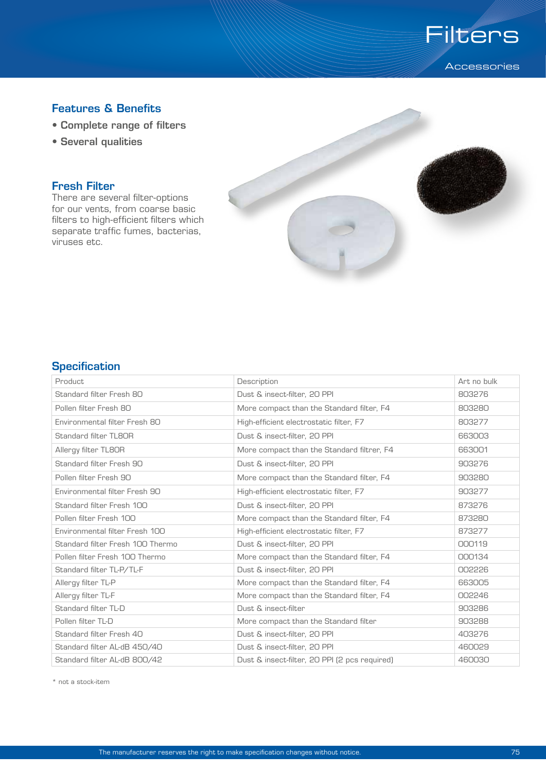

# Features & Benefits

- Complete range of filters
- Several qualities

## Fresh Filter

There are several filter-options for our vents, from coarse basic filters to high-efficient filters which separate traffic fumes, bacterias, viruses etc.



### **Specification**

| Product                          | Description                                   | Art no bulk |
|----------------------------------|-----------------------------------------------|-------------|
| Standard filter Fresh 80         | Dust & insect-filter, 20 PPI                  | 803276      |
| Pollen filter Fresh 80           | More compact than the Standard filter, F4     | 803280      |
| Environmental filter Fresh 80    | High-efficient electrostatic filter, F7       | 803277      |
| <b>Standard filter TL8OR</b>     | Dust & insect-filter, 20 PPI                  | 663003      |
| Allergy filter TL8OR             | More compact than the Standard filtrer, F4    | 663001      |
| Standard filter Fresh 90         | Dust & insect-filter, 20 PPI                  | 903276      |
| Pollen filter Fresh 90           | More compact than the Standard filter, F4     | 903280      |
| Environmental filter Fresh 90    | High-efficient electrostatic filter, F7       | 903277      |
| Standard filter Fresh 100        | Dust & insect-filter, 20 PPI                  | 873276      |
| Pollen filter Fresh 100          | More compact than the Standard filter, F4     | 873280      |
| Environmental filter Fresh 100   | High-efficient electrostatic filter, F7       | 873277      |
| Standard filter Fresh 100 Thermo | Dust & insect-filter, 20 PPI                  | 000119      |
| Pollen filter Fresh 100 Thermo   | More compact than the Standard filter, F4     | 000134      |
| Standard filter TL-P/TL-F        | Dust & insect-filter, 20 PPI                  | 002226      |
| Allergy filter TL-P              | More compact than the Standard filter, F4     | 663005      |
| Allergy filter TL-F              | More compact than the Standard filter, F4     | 002246      |
| Standard filter TL-D             | Dust & insect-filter                          | 903286      |
| Pollen filter TL-D               | More compact than the Standard filter         | 903288      |
| Standard filter Fresh 40         | Dust & insect-filter, 20 PPI                  | 403276      |
| Standard filter AL-dB 450/40     | Dust & insect-filter, 20 PPI                  | 460029      |
| Standard filter AL-dB 800/42     | Dust & insect-filter, 20 PPI (2 pcs required) | 460030      |

\* not a stock-item